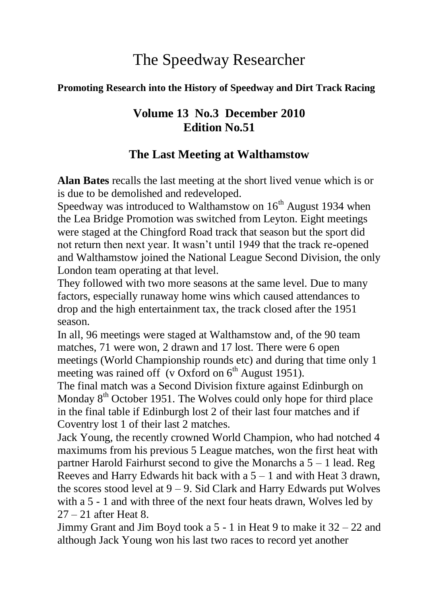# The Speedway Researcher

#### **Promoting Research into the History of Speedway and Dirt Track Racing**

# **Volume 13 No.3 December 2010 Edition No.51**

# **The Last Meeting at Walthamstow**

**Alan Bates** recalls the last meeting at the short lived venue which is or is due to be demolished and redeveloped.

Speedway was introduced to Walthamstow on  $16<sup>th</sup>$  August 1934 when the Lea Bridge Promotion was switched from Leyton. Eight meetings were staged at the Chingford Road track that season but the sport did not return then next year. It wasn"t until 1949 that the track re-opened and Walthamstow joined the National League Second Division, the only London team operating at that level.

They followed with two more seasons at the same level. Due to many factors, especially runaway home wins which caused attendances to drop and the high entertainment tax, the track closed after the 1951 season.

In all, 96 meetings were staged at Walthamstow and, of the 90 team matches, 71 were won, 2 drawn and 17 lost. There were 6 open meetings (World Championship rounds etc) and during that time only 1 meeting was rained off (v Oxford on  $6<sup>th</sup>$  August 1951).

The final match was a Second Division fixture against Edinburgh on Monday  $8<sup>th</sup>$  October 1951. The Wolves could only hope for third place in the final table if Edinburgh lost 2 of their last four matches and if Coventry lost 1 of their last 2 matches.

Jack Young, the recently crowned World Champion, who had notched 4 maximums from his previous 5 League matches, won the first heat with partner Harold Fairhurst second to give the Monarchs a  $5 - 1$  lead. Reg Reeves and Harry Edwards hit back with a  $5 - 1$  and with Heat 3 drawn, the scores stood level at  $9 - 9$ . Sid Clark and Harry Edwards put Wolves with a 5 - 1 and with three of the next four heats drawn, Wolves led by  $27 - 21$  after Heat 8.

Jimmy Grant and Jim Boyd took a 5 - 1 in Heat 9 to make it 32 – 22 and although Jack Young won his last two races to record yet another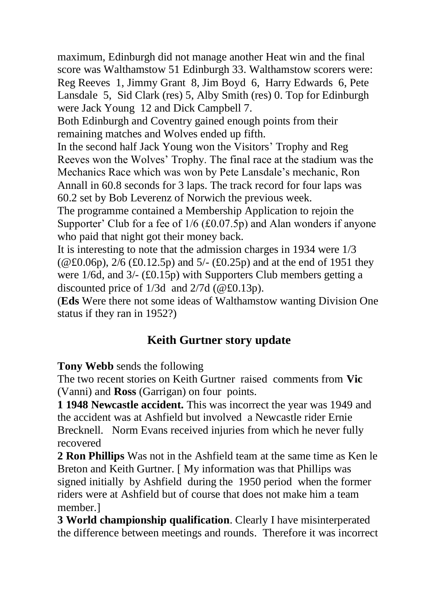maximum, Edinburgh did not manage another Heat win and the final score was Walthamstow 51 Edinburgh 33. Walthamstow scorers were: Reg Reeves 1, Jimmy Grant 8, Jim Boyd 6, Harry Edwards 6, Pete Lansdale 5, Sid Clark (res) 5, Alby Smith (res) 0. Top for Edinburgh were Jack Young 12 and Dick Campbell 7.

Both Edinburgh and Coventry gained enough points from their remaining matches and Wolves ended up fifth.

In the second half Jack Young won the Visitors" Trophy and Reg Reeves won the Wolves" Trophy. The final race at the stadium was the Mechanics Race which was won by Pete Lansdale"s mechanic, Ron Annall in 60.8 seconds for 3 laps. The track record for four laps was 60.2 set by Bob Leverenz of Norwich the previous week.

The programme contained a Membership Application to rejoin the Supporter' Club for a fee of  $1/6$  (£0.07.5p) and Alan wonders if anyone who paid that night got their money back.

It is interesting to note that the admission charges in 1934 were 1/3  $(QE(0.06p), 2/6 (£0.12.5p)$  and  $5/-(£0.25p)$  and at the end of 1951 they were 1/6d, and 3/- (£0.15p) with Supporters Club members getting a discounted price of 1/3d and 2/7d (@£0.13p).

(**Eds** Were there not some ideas of Walthamstow wanting Division One status if they ran in 1952?)

# **Keith Gurtner story update**

**Tony Webb** sends the following

The two recent stories on Keith Gurtner raised comments from **Vic** (Vanni) and **Ross** (Garrigan) on four points.

**1 1948 Newcastle accident.** This was incorrect the year was 1949 and the accident was at Ashfield but involved a Newcastle rider Ernie Brecknell. Norm Evans received injuries from which he never fully recovered

**2 Ron Phillips** Was not in the Ashfield team at the same time as Ken le Breton and Keith Gurtner. [ My information was that Phillips was signed initially by Ashfield during the 1950 period when the former riders were at Ashfield but of course that does not make him a team member.]

**3 World championship qualification**. Clearly I have misinterperated the difference between meetings and rounds. Therefore it was incorrect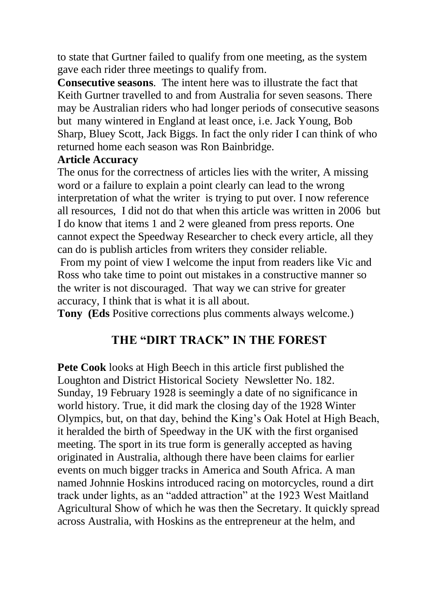to state that Gurtner failed to qualify from one meeting, as the system gave each rider three meetings to qualify from.

**Consecutive seasons**. The intent here was to illustrate the fact that Keith Gurtner travelled to and from Australia for seven seasons. There may be Australian riders who had longer periods of consecutive seasons but many wintered in England at least once, i.e. Jack Young, Bob Sharp, Bluey Scott, Jack Biggs. In fact the only rider I can think of who returned home each season was Ron Bainbridge.

#### **Article Accuracy**

The onus for the correctness of articles lies with the writer, A missing word or a failure to explain a point clearly can lead to the wrong interpretation of what the writer is trying to put over. I now reference all resources, I did not do that when this article was written in 2006 but I do know that items 1 and 2 were gleaned from press reports. One cannot expect the Speedway Researcher to check every article, all they can do is publish articles from writers they consider reliable.

From my point of view I welcome the input from readers like Vic and Ross who take time to point out mistakes in a constructive manner so the writer is not discouraged. That way we can strive for greater accuracy, I think that is what it is all about.

**Tony (Eds** Positive corrections plus comments always welcome.)

# **THE "DIRT TRACK" IN THE FOREST**

**Pete Cook** looks at High Beech in this article first published the Loughton and District Historical Society Newsletter No. 182. Sunday, 19 February 1928 is seemingly a date of no significance in world history. True, it did mark the closing day of the 1928 Winter Olympics, but, on that day, behind the King"s Oak Hotel at High Beach, it heralded the birth of Speedway in the UK with the first organised meeting. The sport in its true form is generally accepted as having originated in Australia, although there have been claims for earlier events on much bigger tracks in America and South Africa. A man named Johnnie Hoskins introduced racing on motorcycles, round a dirt track under lights, as an "added attraction" at the 1923 West Maitland Agricultural Show of which he was then the Secretary. It quickly spread across Australia, with Hoskins as the entrepreneur at the helm, and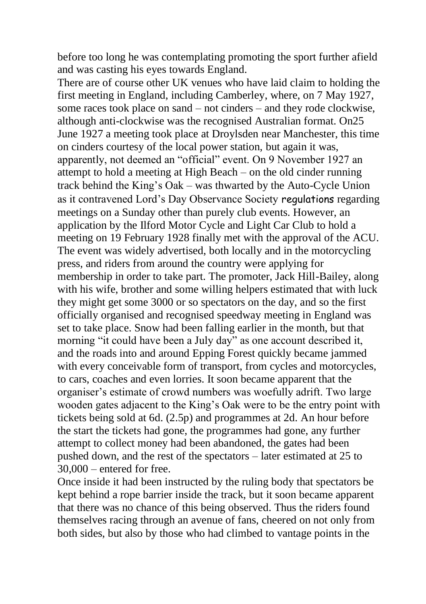before too long he was contemplating promoting the sport further afield and was casting his eyes towards England.

There are of course other UK venues who have laid claim to holding the first meeting in England, including Camberley, where, on 7 May 1927, some races took place on sand – not cinders – and they rode clockwise, although anti-clockwise was the recognised Australian format. On25 June 1927 a meeting took place at Droylsden near Manchester, this time on cinders courtesy of the local power station, but again it was, apparently, not deemed an "official" event. On 9 November 1927 an attempt to hold a meeting at High Beach – on the old cinder running track behind the King"s Oak – was thwarted by the Auto-Cycle Union as it contravened Lord"s Day Observance Society regulations regarding meetings on a Sunday other than purely club events. However, an application by the Ilford Motor Cycle and Light Car Club to hold a meeting on 19 February 1928 finally met with the approval of the ACU. The event was widely advertised, both locally and in the motorcycling press, and riders from around the country were applying for membership in order to take part. The promoter, Jack Hill-Bailey, along with his wife, brother and some willing helpers estimated that with luck they might get some 3000 or so spectators on the day, and so the first officially organised and recognised speedway meeting in England was set to take place. Snow had been falling earlier in the month, but that morning "it could have been a July day" as one account described it, and the roads into and around Epping Forest quickly became jammed with every conceivable form of transport, from cycles and motorcycles, to cars, coaches and even lorries. It soon became apparent that the organiser"s estimate of crowd numbers was woefully adrift. Two large wooden gates adjacent to the King"s Oak were to be the entry point with tickets being sold at 6d. (2.5p) and programmes at 2d. An hour before the start the tickets had gone, the programmes had gone, any further attempt to collect money had been abandoned, the gates had been pushed down, and the rest of the spectators – later estimated at 25 to  $30,000$  – entered for free.

Once inside it had been instructed by the ruling body that spectators be kept behind a rope barrier inside the track, but it soon became apparent that there was no chance of this being observed. Thus the riders found themselves racing through an avenue of fans, cheered on not only from both sides, but also by those who had climbed to vantage points in the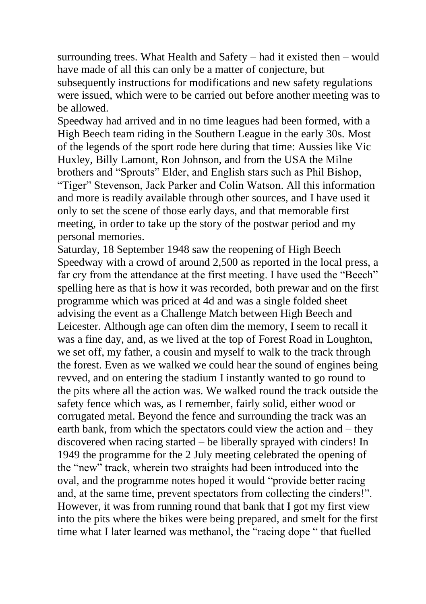surrounding trees. What Health and Safety – had it existed then – would have made of all this can only be a matter of conjecture, but subsequently instructions for modifications and new safety regulations were issued, which were to be carried out before another meeting was to be allowed.

Speedway had arrived and in no time leagues had been formed, with a High Beech team riding in the Southern League in the early 30s. Most of the legends of the sport rode here during that time: Aussies like Vic Huxley, Billy Lamont, Ron Johnson, and from the USA the Milne brothers and "Sprouts" Elder, and English stars such as Phil Bishop, "Tiger" Stevenson, Jack Parker and Colin Watson. All this information and more is readily available through other sources, and I have used it only to set the scene of those early days, and that memorable first meeting, in order to take up the story of the postwar period and my personal memories.

Saturday, 18 September 1948 saw the reopening of High Beech Speedway with a crowd of around 2,500 as reported in the local press, a far cry from the attendance at the first meeting. I have used the "Beech" spelling here as that is how it was recorded, both prewar and on the first programme which was priced at 4d and was a single folded sheet advising the event as a Challenge Match between High Beech and Leicester. Although age can often dim the memory, I seem to recall it was a fine day, and, as we lived at the top of Forest Road in Loughton, we set off, my father, a cousin and myself to walk to the track through the forest. Even as we walked we could hear the sound of engines being revved, and on entering the stadium I instantly wanted to go round to the pits where all the action was. We walked round the track outside the safety fence which was, as I remember, fairly solid, either wood or corrugated metal. Beyond the fence and surrounding the track was an earth bank, from which the spectators could view the action and – they discovered when racing started – be liberally sprayed with cinders! In 1949 the programme for the 2 July meeting celebrated the opening of the "new" track, wherein two straights had been introduced into the oval, and the programme notes hoped it would "provide better racing and, at the same time, prevent spectators from collecting the cinders!". However, it was from running round that bank that I got my first view into the pits where the bikes were being prepared, and smelt for the first time what I later learned was methanol, the "racing dope " that fuelled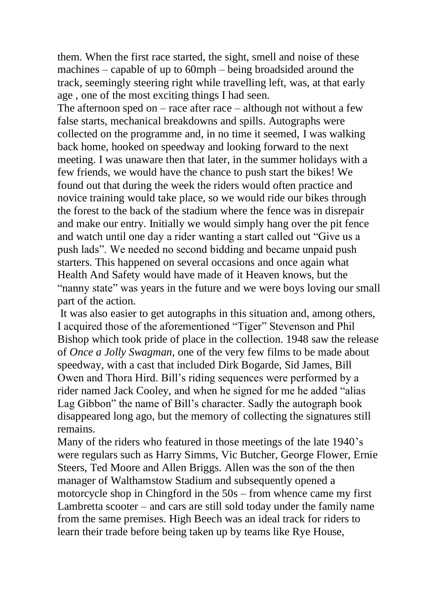them. When the first race started, the sight, smell and noise of these machines – capable of up to 60mph – being broadsided around the track, seemingly steering right while travelling left, was, at that early age , one of the most exciting things I had seen.

The afternoon sped on – race after race – although not without a few false starts, mechanical breakdowns and spills. Autographs were collected on the programme and, in no time it seemed, I was walking back home, hooked on speedway and looking forward to the next meeting. I was unaware then that later, in the summer holidays with a few friends, we would have the chance to push start the bikes! We found out that during the week the riders would often practice and novice training would take place, so we would ride our bikes through the forest to the back of the stadium where the fence was in disrepair and make our entry. Initially we would simply hang over the pit fence and watch until one day a rider wanting a start called out "Give us a push lads". We needed no second bidding and became unpaid push starters. This happened on several occasions and once again what Health And Safety would have made of it Heaven knows, but the "nanny state" was years in the future and we were boys loving our small part of the action.

It was also easier to get autographs in this situation and, among others, I acquired those of the aforementioned "Tiger" Stevenson and Phil Bishop which took pride of place in the collection. 1948 saw the release of *Once a Jolly Swagman,* one of the very few films to be made about speedway, with a cast that included Dirk Bogarde, Sid James, Bill Owen and Thora Hird. Bill"s riding sequences were performed by a rider named Jack Cooley, and when he signed for me he added "alias Lag Gibbon" the name of Bill"s character. Sadly the autograph book disappeared long ago, but the memory of collecting the signatures still remains.

Many of the riders who featured in those meetings of the late 1940"s were regulars such as Harry Simms, Vic Butcher, George Flower, Ernie Steers, Ted Moore and Allen Briggs. Allen was the son of the then manager of Walthamstow Stadium and subsequently opened a motorcycle shop in Chingford in the 50s – from whence came my first Lambretta scooter – and cars are still sold today under the family name from the same premises. High Beech was an ideal track for riders to learn their trade before being taken up by teams like Rye House,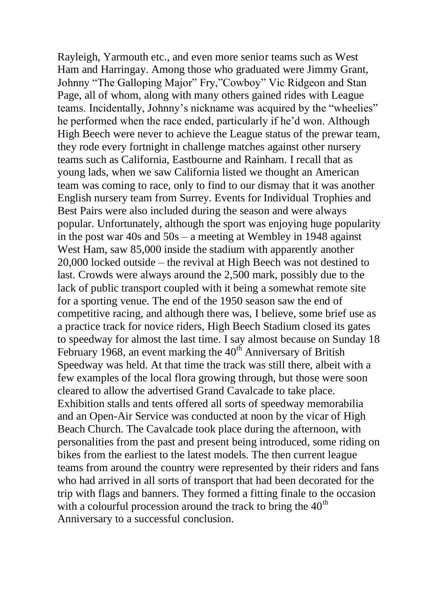Rayleigh, Yarmouth etc., and even more senior teams such as West Ham and Harringay. Among those who graduated were Jimmy Grant, Johnny "The Galloping Major" Fry,"Cowboy" Vic Ridgeon and Stan Page, all of whom, along with many others gained rides with League teams. Incidentally, Johnny"s nickname was acquired by the "wheelies" he performed when the race ended, particularly if he"d won. Although High Beech were never to achieve the League status of the prewar team, they rode every fortnight in challenge matches against other nursery teams such as California, Eastbourne and Rainham. I recall that as young lads, when we saw California listed we thought an American team was coming to race, only to find to our dismay that it was another English nursery team from Surrey. Events for Individual Trophies and Best Pairs were also included during the season and were always popular. Unfortunately, although the sport was enjoying huge popularity in the post war 40s and 50s – a meeting at Wembley in 1948 against West Ham, saw 85,000 inside the stadium with apparently another 20,000 locked outside – the revival at High Beech was not destined to last. Crowds were always around the 2,500 mark, possibly due to the lack of public transport coupled with it being a somewhat remote site for a sporting venue. The end of the 1950 season saw the end of competitive racing, and although there was, I believe, some brief use as a practice track for novice riders, High Beech Stadium closed its gates to speedway for almost the last time. I say almost because on Sunday 18 February 1968, an event marking the  $40<sup>th</sup>$  Anniversary of British Speedway was held. At that time the track was still there, albeit with a few examples of the local flora growing through, but those were soon cleared to allow the advertised Grand Cavalcade to take place. Exhibition stalls and tents offered all sorts of speedway memorabilia and an Open-Air Service was conducted at noon by the vicar of High Beach Church. The Cavalcade took place during the afternoon, with personalities from the past and present being introduced, some riding on bikes from the earliest to the latest models. The then current league teams from around the country were represented by their riders and fans who had arrived in all sorts of transport that had been decorated for the trip with flags and banners. They formed a fitting finale to the occasion with a colourful procession around the track to bring the  $40<sup>th</sup>$ Anniversary to a successful conclusion.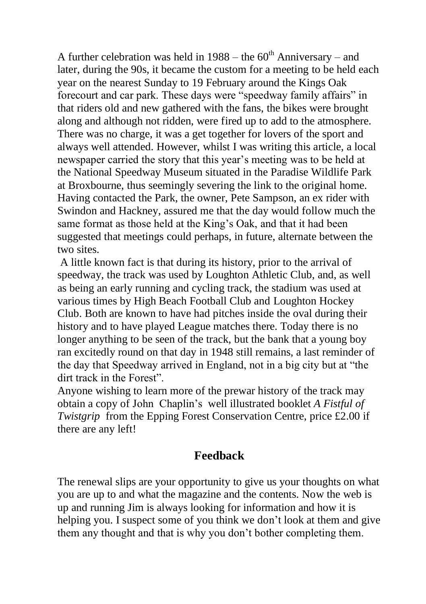A further celebration was held in  $1988 -$  the  $60<sup>th</sup>$  Anniversary – and later, during the 90s, it became the custom for a meeting to be held each year on the nearest Sunday to 19 February around the Kings Oak forecourt and car park. These days were "speedway family affairs" in that riders old and new gathered with the fans, the bikes were brought along and although not ridden, were fired up to add to the atmosphere. There was no charge, it was a get together for lovers of the sport and always well attended. However, whilst I was writing this article, a local newspaper carried the story that this year's meeting was to be held at the National Speedway Museum situated in the Paradise Wildlife Park at Broxbourne, thus seemingly severing the link to the original home. Having contacted the Park, the owner, Pete Sampson, an ex rider with Swindon and Hackney, assured me that the day would follow much the same format as those held at the King"s Oak, and that it had been suggested that meetings could perhaps, in future, alternate between the two sites.

A little known fact is that during its history, prior to the arrival of speedway, the track was used by Loughton Athletic Club, and, as well as being an early running and cycling track, the stadium was used at various times by High Beach Football Club and Loughton Hockey Club. Both are known to have had pitches inside the oval during their history and to have played League matches there. Today there is no longer anything to be seen of the track, but the bank that a young boy ran excitedly round on that day in 1948 still remains, a last reminder of the day that Speedway arrived in England, not in a big city but at "the dirt track in the Forest".

Anyone wishing to learn more of the prewar history of the track may obtain a copy of John Chaplin"s well illustrated booklet *A Fistful of Twistgrip* from the Epping Forest Conservation Centre, price £2.00 if there are any left!

## **Feedback**

The renewal slips are your opportunity to give us your thoughts on what you are up to and what the magazine and the contents. Now the web is up and running Jim is always looking for information and how it is helping you. I suspect some of you think we don"t look at them and give them any thought and that is why you don"t bother completing them.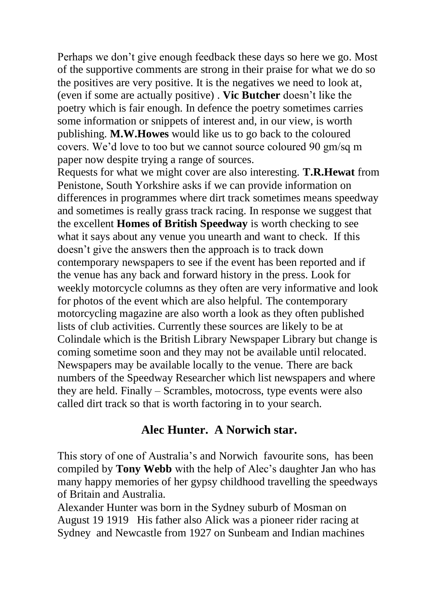Perhaps we don"t give enough feedback these days so here we go. Most of the supportive comments are strong in their praise for what we do so the positives are very positive. It is the negatives we need to look at, (even if some are actually positive) . **Vic Butcher** doesn"t like the poetry which is fair enough. In defence the poetry sometimes carries some information or snippets of interest and, in our view, is worth publishing. **M.W.Howes** would like us to go back to the coloured covers. We"d love to too but we cannot source coloured 90 gm/sq m paper now despite trying a range of sources.

Requests for what we might cover are also interesting. **T.R.Hewat** from Penistone, South Yorkshire asks if we can provide information on differences in programmes where dirt track sometimes means speedway and sometimes is really grass track racing. In response we suggest that the excellent **Homes of British Speedway** is worth checking to see what it says about any venue you unearth and want to check. If this doesn"t give the answers then the approach is to track down contemporary newspapers to see if the event has been reported and if the venue has any back and forward history in the press. Look for weekly motorcycle columns as they often are very informative and look for photos of the event which are also helpful. The contemporary motorcycling magazine are also worth a look as they often published lists of club activities. Currently these sources are likely to be at Colindale which is the British Library Newspaper Library but change is coming sometime soon and they may not be available until relocated. Newspapers may be available locally to the venue. There are back numbers of the Speedway Researcher which list newspapers and where they are held. Finally – Scrambles, motocross, type events were also called dirt track so that is worth factoring in to your search.

#### **Alec Hunter. A Norwich star.**

This story of one of Australia"s and Norwich favourite sons, has been compiled by **Tony Webb** with the help of Alec"s daughter Jan who has many happy memories of her gypsy childhood travelling the speedways of Britain and Australia.

Alexander Hunter was born in the Sydney suburb of Mosman on August 19 1919 His father also Alick was a pioneer rider racing at Sydney and Newcastle from 1927 on Sunbeam and Indian machines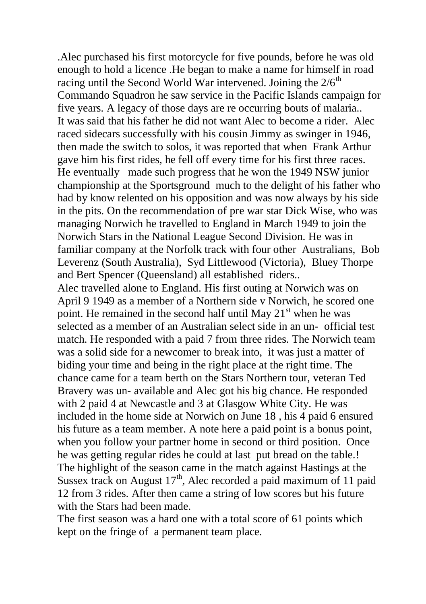.Alec purchased his first motorcycle for five pounds, before he was old enough to hold a licence .He began to make a name for himself in road racing until the Second World War intervened. Joining the  $2/6<sup>th</sup>$ Commando Squadron he saw service in the Pacific Islands campaign for five years. A legacy of those days are re occurring bouts of malaria.. It was said that his father he did not want Alec to become a rider. Alec raced sidecars successfully with his cousin Jimmy as swinger in 1946, then made the switch to solos, it was reported that when Frank Arthur gave him his first rides, he fell off every time for his first three races. He eventually made such progress that he won the 1949 NSW junior championship at the Sportsground much to the delight of his father who had by know relented on his opposition and was now always by his side in the pits. On the recommendation of pre war star Dick Wise, who was managing Norwich he travelled to England in March 1949 to join the Norwich Stars in the National League Second Division. He was in familiar company at the Norfolk track with four other Australians, Bob Leverenz (South Australia), Syd Littlewood (Victoria), Bluey Thorpe and Bert Spencer (Queensland) all established riders.. Alec travelled alone to England. His first outing at Norwich was on April 9 1949 as a member of a Northern side v Norwich, he scored one point. He remained in the second half until May  $21<sup>st</sup>$  when he was selected as a member of an Australian select side in an un- official test match. He responded with a paid 7 from three rides. The Norwich team was a solid side for a newcomer to break into, it was just a matter of biding your time and being in the right place at the right time. The chance came for a team berth on the Stars Northern tour, veteran Ted Bravery was un- available and Alec got his big chance. He responded with 2 paid 4 at Newcastle and 3 at Glasgow White City. He was included in the home side at Norwich on June 18 , his 4 paid 6 ensured his future as a team member. A note here a paid point is a bonus point, when you follow your partner home in second or third position. Once he was getting regular rides he could at last put bread on the table.! The highlight of the season came in the match against Hastings at the Sussex track on August  $17<sup>th</sup>$ , Alec recorded a paid maximum of 11 paid 12 from 3 rides. After then came a string of low scores but his future with the Stars had been made.

The first season was a hard one with a total score of 61 points which kept on the fringe of a permanent team place.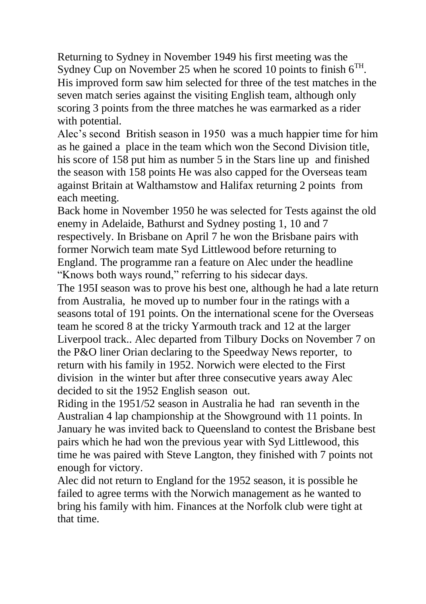Returning to Sydney in November 1949 his first meeting was the Sydney Cup on November 25 when he scored 10 points to finish  $6<sup>TH</sup>$ . His improved form saw him selected for three of the test matches in the seven match series against the visiting English team, although only scoring 3 points from the three matches he was earmarked as a rider with potential.

Alec"s second British season in 1950 was a much happier time for him as he gained a place in the team which won the Second Division title, his score of 158 put him as number 5 in the Stars line up and finished the season with 158 points He was also capped for the Overseas team against Britain at Walthamstow and Halifax returning 2 points from each meeting.

Back home in November 1950 he was selected for Tests against the old enemy in Adelaide, Bathurst and Sydney posting 1, 10 and 7 respectively. In Brisbane on April 7 he won the Brisbane pairs with former Norwich team mate Syd Littlewood before returning to England. The programme ran a feature on Alec under the headline "Knows both ways round," referring to his sidecar days.

The 195I season was to prove his best one, although he had a late return from Australia, he moved up to number four in the ratings with a seasons total of 191 points. On the international scene for the Overseas team he scored 8 at the tricky Yarmouth track and 12 at the larger Liverpool track.. Alec departed from Tilbury Docks on November 7 on the P&O liner Orian declaring to the Speedway News reporter, to return with his family in 1952. Norwich were elected to the First division in the winter but after three consecutive years away Alec decided to sit the 1952 English season out.

Riding in the 1951/52 season in Australia he had ran seventh in the Australian 4 lap championship at the Showground with 11 points. In January he was invited back to Queensland to contest the Brisbane best pairs which he had won the previous year with Syd Littlewood, this time he was paired with Steve Langton, they finished with 7 points not enough for victory.

Alec did not return to England for the 1952 season, it is possible he failed to agree terms with the Norwich management as he wanted to bring his family with him. Finances at the Norfolk club were tight at that time.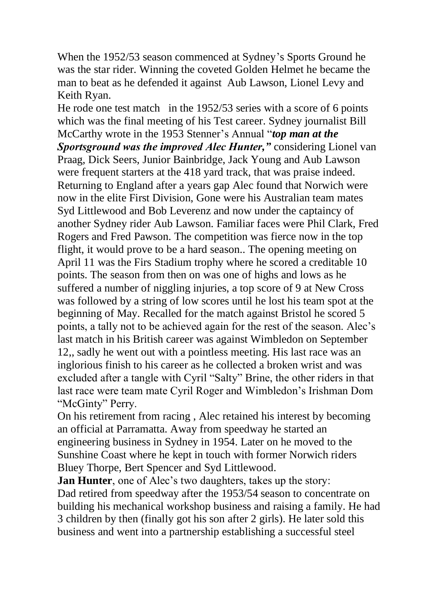When the 1952/53 season commenced at Sydney's Sports Ground he was the star rider. Winning the coveted Golden Helmet he became the man to beat as he defended it against Aub Lawson, Lionel Levy and Keith Ryan.

He rode one test match in the 1952/53 series with a score of 6 points which was the final meeting of his Test career. Sydney journalist Bill McCarthy wrote in the 1953 Stenner"s Annual "*top man at the Sportsground was the improved Alec Hunter,"* considering Lionel van Praag, Dick Seers, Junior Bainbridge, Jack Young and Aub Lawson were frequent starters at the 418 yard track, that was praise indeed. Returning to England after a years gap Alec found that Norwich were now in the elite First Division, Gone were his Australian team mates Syd Littlewood and Bob Leverenz and now under the captaincy of another Sydney rider Aub Lawson. Familiar faces were Phil Clark, Fred Rogers and Fred Pawson. The competition was fierce now in the top flight, it would prove to be a hard season.. The opening meeting on April 11 was the Firs Stadium trophy where he scored a creditable 10 points. The season from then on was one of highs and lows as he suffered a number of niggling injuries, a top score of 9 at New Cross was followed by a string of low scores until he lost his team spot at the beginning of May. Recalled for the match against Bristol he scored 5 points, a tally not to be achieved again for the rest of the season. Alec"s last match in his British career was against Wimbledon on September 12,, sadly he went out with a pointless meeting. His last race was an inglorious finish to his career as he collected a broken wrist and was excluded after a tangle with Cyril "Salty" Brine, the other riders in that last race were team mate Cyril Roger and Wimbledon"s Irishman Dom "McGinty" Perry.

On his retirement from racing , Alec retained his interest by becoming an official at Parramatta. Away from speedway he started an engineering business in Sydney in 1954. Later on he moved to the Sunshine Coast where he kept in touch with former Norwich riders Bluey Thorpe, Bert Spencer and Syd Littlewood.

**Jan Hunter**, one of Alec's two daughters, takes up the story: Dad retired from speedway after the 1953/54 season to concentrate on building his mechanical workshop business and raising a family. He had 3 children by then (finally got his son after 2 girls). He later sold this business and went into a partnership establishing a successful steel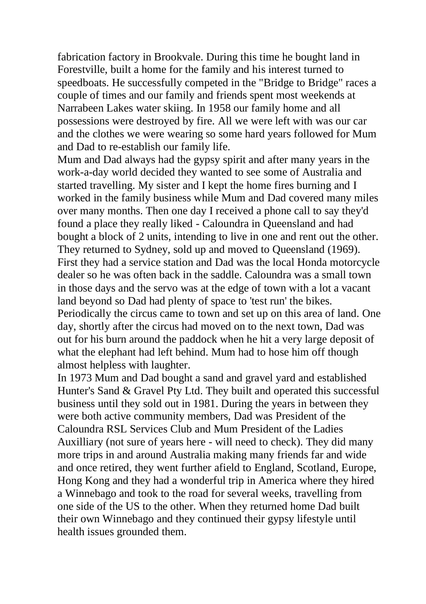fabrication factory in Brookvale. During this time he bought land in Forestville, built a home for the family and his interest turned to speedboats. He successfully competed in the "Bridge to Bridge" races a couple of times and our family and friends spent most weekends at Narrabeen Lakes water skiing. In 1958 our family home and all possessions were destroyed by fire. All we were left with was our car and the clothes we were wearing so some hard years followed for Mum and Dad to re-establish our family life.

Mum and Dad always had the gypsy spirit and after many years in the work-a-day world decided they wanted to see some of Australia and started travelling. My sister and I kept the home fires burning and I worked in the family business while Mum and Dad covered many miles over many months. Then one day I received a phone call to say they'd found a place they really liked - Caloundra in Queensland and had bought a block of 2 units, intending to live in one and rent out the other. They returned to Sydney, sold up and moved to Queensland (1969). First they had a service station and Dad was the local Honda motorcycle dealer so he was often back in the saddle. Caloundra was a small town in those days and the servo was at the edge of town with a lot a vacant land beyond so Dad had plenty of space to 'test run' the bikes. Periodically the circus came to town and set up on this area of land. One day, shortly after the circus had moved on to the next town, Dad was out for his burn around the paddock when he hit a very large deposit of what the elephant had left behind. Mum had to hose him off though almost helpless with laughter.

In 1973 Mum and Dad bought a sand and gravel yard and established Hunter's Sand & Gravel Pty Ltd. They built and operated this successful business until they sold out in 1981. During the years in between they were both active community members, Dad was President of the Caloundra RSL Services Club and Mum President of the Ladies Auxilliary (not sure of years here - will need to check). They did many more trips in and around Australia making many friends far and wide and once retired, they went further afield to England, Scotland, Europe, Hong Kong and they had a wonderful trip in America where they hired a Winnebago and took to the road for several weeks, travelling from one side of the US to the other. When they returned home Dad built their own Winnebago and they continued their gypsy lifestyle until health issues grounded them.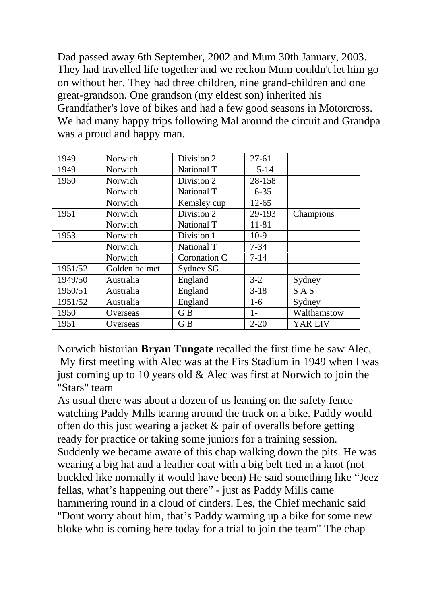Dad passed away 6th September, 2002 and Mum 30th January, 2003. They had travelled life together and we reckon Mum couldn't let him go on without her. They had three children, nine grand-children and one great-grandson. One grandson (my eldest son) inherited his Grandfather's love of bikes and had a few good seasons in Motorcross. We had many happy trips following Mal around the circuit and Grandpa was a proud and happy man.

| 1949    | Norwich       | Division 2   | $27 - 61$ |             |
|---------|---------------|--------------|-----------|-------------|
| 1949    | Norwich       | National T   | $5 - 14$  |             |
| 1950    | Norwich       | Division 2   | 28-158    |             |
|         | Norwich       | National T   | $6 - 35$  |             |
|         | Norwich       | Kemsley cup  | 12-65     |             |
| 1951    | Norwich       | Division 2   | 29-193    | Champions   |
|         | Norwich       | National T   | 11-81     |             |
| 1953    | Norwich       | Division 1   | $10-9$    |             |
|         | Norwich       | National T   | $7 - 34$  |             |
|         | Norwich       | Coronation C | $7 - 14$  |             |
| 1951/52 | Golden helmet | Sydney SG    |           |             |
| 1949/50 | Australia     | England      | $3-2$     | Sydney      |
| 1950/51 | Australia     | England      | $3-18$    | <b>SAS</b>  |
| 1951/52 | Australia     | England      | $1-6$     | Sydney      |
| 1950    | Overseas      | G B          | $1-$      | Walthamstow |
| 1951    | Overseas      | G B          | $2 - 20$  | YAR LIV     |

Norwich historian **Bryan Tungate** recalled the first time he saw Alec, My first meeting with Alec was at the Firs Stadium in 1949 when I was just coming up to 10 years old  $\&$  Alec was first at Norwich to join the "Stars" team

As usual there was about a dozen of us leaning on the safety fence watching Paddy Mills tearing around the track on a bike. Paddy would often do this just wearing a jacket & pair of overalls before getting ready for practice or taking some juniors for a training session. Suddenly we became aware of this chap walking down the pits. He was wearing a big hat and a leather coat with a big belt tied in a knot (not buckled like normally it would have been) He said something like "Jeez fellas, what's happening out there" - just as Paddy Mills came hammering round in a cloud of cinders. Les, the Chief mechanic said "Dont worry about him, that's Paddy warming up a bike for some new bloke who is coming here today for a trial to join the team" The chap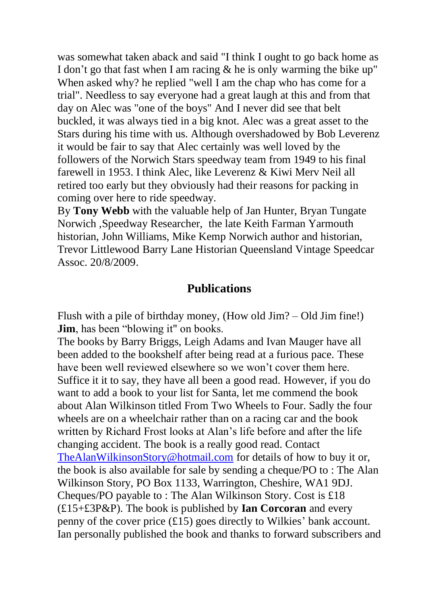was somewhat taken aback and said "I think I ought to go back home as I don't go that fast when I am racing  $\&$  he is only warming the bike up" When asked why? he replied "well I am the chap who has come for a trial". Needless to say everyone had a great laugh at this and from that day on Alec was "one of the boys" And I never did see that belt buckled, it was always tied in a big knot. Alec was a great asset to the Stars during his time with us. Although overshadowed by Bob Leverenz it would be fair to say that Alec certainly was well loved by the followers of the Norwich Stars speedway team from 1949 to his final farewell in 1953. I think Alec, like Leverenz & Kiwi Merv Neil all retired too early but they obviously had their reasons for packing in coming over here to ride speedway.

By **Tony Webb** with the valuable help of Jan Hunter, Bryan Tungate Norwich ,Speedway Researcher, the late Keith Farman Yarmouth historian, John Williams, Mike Kemp Norwich author and historian, Trevor Littlewood Barry Lane Historian Queensland Vintage Speedcar Assoc. 20/8/2009.

### **Publications**

Flush with a pile of birthday money, (How old Jim? – Old Jim fine!) **Jim**, has been "blowing it" on books.

The books by Barry Briggs, Leigh Adams and Ivan Mauger have all been added to the bookshelf after being read at a furious pace. These have been well reviewed elsewhere so we won't cover them here. Suffice it it to say, they have all been a good read. However, if you do want to add a book to your list for Santa, let me commend the book about Alan Wilkinson titled From Two Wheels to Four. Sadly the four wheels are on a wheelchair rather than on a racing car and the book written by Richard Frost looks at Alan"s life before and after the life changing accident. The book is a really good read. Contact [TheAlanWilkinsonStory@hotmail.com](mailto:TheAlanWilkinsonStory@hotmail.com) for details of how to buy it or, the book is also available for sale by sending a cheque/PO to : The Alan Wilkinson Story, PO Box 1133, Warrington, Cheshire, WA1 9DJ. Cheques/PO payable to : The Alan Wilkinson Story. Cost is £18 (£15+£3P&P). The book is published by **Ian Corcoran** and every penny of the cover price  $(£15)$  goes directly to Wilkies' bank account. Ian personally published the book and thanks to forward subscribers and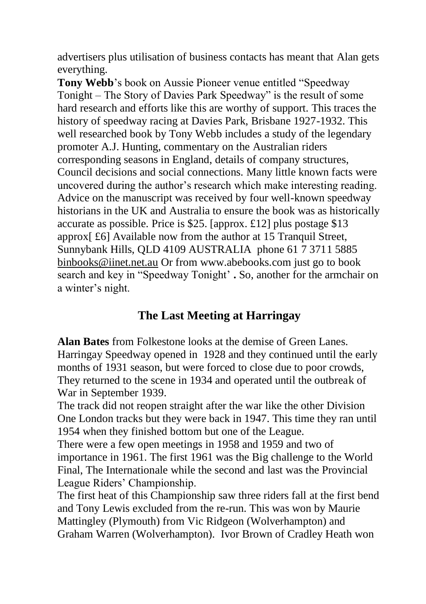advertisers plus utilisation of business contacts has meant that Alan gets everything.

**Tony Webb**'s book on Aussie Pioneer venue entitled "Speedway" Tonight – The Story of Davies Park Speedway" is the result of some hard research and efforts like this are worthy of support. This traces the history of speedway racing at Davies Park, Brisbane 1927-1932. This well researched book by Tony Webb includes a study of the legendary promoter A.J. Hunting, commentary on the Australian riders corresponding seasons in England, details of company structures, Council decisions and social connections. Many little known facts were uncovered during the author"s research which make interesting reading. Advice on the manuscript was received by four well-known speedway historians in the UK and Australia to ensure the book was as historically accurate as possible. Price is \$25. [approx. £12] plus postage \$13 approx[ £6] Available now from the author at 15 Tranquil Street, Sunnybank Hills, QLD 4109 AUSTRALIA phone 61 7 3711 5885 [binbooks@iinet.net.au](mailto:binbooks@iinet.net.au) Or from www.abebooks.com just go to book search and key in "Speedway Tonight" **.** So, another for the armchair on a winter's night.

## **The Last Meeting at Harringay**

**Alan Bates** from Folkestone looks at the demise of Green Lanes. Harringay Speedway opened in 1928 and they continued until the early months of 1931 season, but were forced to close due to poor crowds, They returned to the scene in 1934 and operated until the outbreak of War in September 1939.

The track did not reopen straight after the war like the other Division One London tracks but they were back in 1947. This time they ran until 1954 when they finished bottom but one of the League.

There were a few open meetings in 1958 and 1959 and two of importance in 1961. The first 1961 was the Big challenge to the World Final, The Internationale while the second and last was the Provincial League Riders' Championship.

The first heat of this Championship saw three riders fall at the first bend and Tony Lewis excluded from the re-run. This was won by Maurie Mattingley (Plymouth) from Vic Ridgeon (Wolverhampton) and Graham Warren (Wolverhampton). Ivor Brown of Cradley Heath won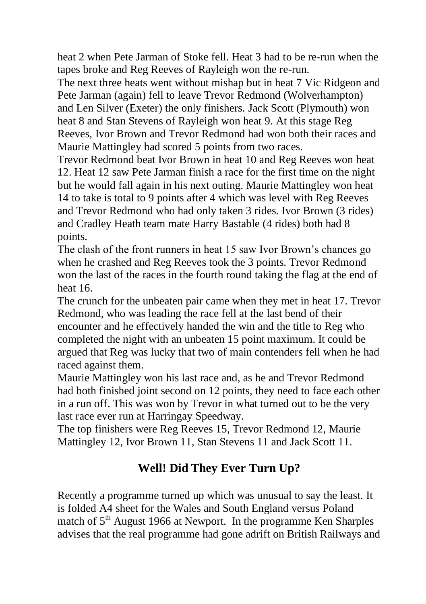heat 2 when Pete Jarman of Stoke fell. Heat 3 had to be re-run when the tapes broke and Reg Reeves of Rayleigh won the re-run.

The next three heats went without mishap but in heat 7 Vic Ridgeon and Pete Jarman (again) fell to leave Trevor Redmond (Wolverhampton) and Len Silver (Exeter) the only finishers. Jack Scott (Plymouth) won heat 8 and Stan Stevens of Rayleigh won heat 9. At this stage Reg Reeves, Ivor Brown and Trevor Redmond had won both their races and Maurie Mattingley had scored 5 points from two races.

Trevor Redmond beat Ivor Brown in heat 10 and Reg Reeves won heat 12. Heat 12 saw Pete Jarman finish a race for the first time on the night but he would fall again in his next outing. Maurie Mattingley won heat 14 to take is total to 9 points after 4 which was level with Reg Reeves and Trevor Redmond who had only taken 3 rides. Ivor Brown (3 rides) and Cradley Heath team mate Harry Bastable (4 rides) both had 8 points.

The clash of the front runners in heat 15 saw Ivor Brown"s chances go when he crashed and Reg Reeves took the 3 points. Trevor Redmond won the last of the races in the fourth round taking the flag at the end of heat 16.

The crunch for the unbeaten pair came when they met in heat 17. Trevor Redmond, who was leading the race fell at the last bend of their encounter and he effectively handed the win and the title to Reg who completed the night with an unbeaten 15 point maximum. It could be argued that Reg was lucky that two of main contenders fell when he had raced against them.

Maurie Mattingley won his last race and, as he and Trevor Redmond had both finished joint second on 12 points, they need to face each other in a run off. This was won by Trevor in what turned out to be the very last race ever run at Harringay Speedway.

The top finishers were Reg Reeves 15, Trevor Redmond 12, Maurie Mattingley 12, Ivor Brown 11, Stan Stevens 11 and Jack Scott 11.

# **Well! Did They Ever Turn Up?**

Recently a programme turned up which was unusual to say the least. It is folded A4 sheet for the Wales and South England versus Poland match of  $5<sup>th</sup>$  August 1966 at Newport. In the programme Ken Sharples advises that the real programme had gone adrift on British Railways and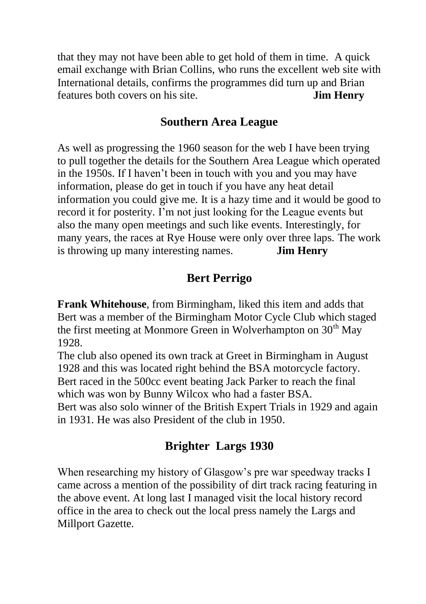that they may not have been able to get hold of them in time. A quick email exchange with Brian Collins, who runs the excellent web site with International details, confirms the programmes did turn up and Brian features both covers on his site. **Jim Henry**

### **Southern Area League**

As well as progressing the 1960 season for the web I have been trying to pull together the details for the Southern Area League which operated in the 1950s. If I haven"t been in touch with you and you may have information, please do get in touch if you have any heat detail information you could give me. It is a hazy time and it would be good to record it for posterity. I"m not just looking for the League events but also the many open meetings and such like events. Interestingly, for many years, the races at Rye House were only over three laps. The work is throwing up many interesting names. **Jim Henry**

## **Bert Perrigo**

**Frank Whitehouse**, from Birmingham, liked this item and adds that Bert was a member of the Birmingham Motor Cycle Club which staged the first meeting at Monmore Green in Wolverhampton on  $30<sup>th</sup>$  May 1928.

The club also opened its own track at Greet in Birmingham in August 1928 and this was located right behind the BSA motorcycle factory. Bert raced in the 500cc event beating Jack Parker to reach the final which was won by Bunny Wilcox who had a faster BSA. Bert was also solo winner of the British Expert Trials in 1929 and again in 1931. He was also President of the club in 1950.

# **Brighter Largs 1930**

When researching my history of Glasgow's pre war speedway tracks I came across a mention of the possibility of dirt track racing featuring in the above event. At long last I managed visit the local history record office in the area to check out the local press namely the Largs and Millport Gazette.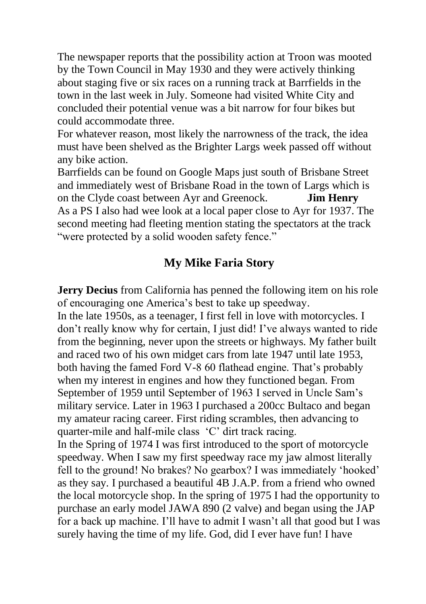The newspaper reports that the possibility action at Troon was mooted by the Town Council in May 1930 and they were actively thinking about staging five or six races on a running track at Barrfields in the town in the last week in July. Someone had visited White City and concluded their potential venue was a bit narrow for four bikes but could accommodate three.

For whatever reason, most likely the narrowness of the track, the idea must have been shelved as the Brighter Largs week passed off without any bike action.

Barrfields can be found on Google Maps just south of Brisbane Street and immediately west of Brisbane Road in the town of Largs which is on the Clyde coast between Ayr and Greenock. **Jim Henry** As a PS I also had wee look at a local paper close to Ayr for 1937. The second meeting had fleeting mention stating the spectators at the track "were protected by a solid wooden safety fence."

## **My Mike Faria Story**

**Jerry Decius** from California has penned the following item on his role of encouraging one America"s best to take up speedway.

In the late 1950s, as a teenager, I first fell in love with motorcycles. I don"t really know why for certain, I just did! I"ve always wanted to ride from the beginning, never upon the streets or highways. My father built and raced two of his own midget cars from late 1947 until late 1953, both having the famed Ford V-8 60 flathead engine. That's probably when my interest in engines and how they functioned began. From September of 1959 until September of 1963 I served in Uncle Sam"s military service. Later in 1963 I purchased a 200cc Bultaco and began my amateur racing career. First riding scrambles, then advancing to quarter-mile and half-mile class "C" dirt track racing.

In the Spring of 1974 I was first introduced to the sport of motorcycle speedway. When I saw my first speedway race my jaw almost literally fell to the ground! No brakes? No gearbox? I was immediately "hooked" as they say. I purchased a beautiful 4B J.A.P. from a friend who owned the local motorcycle shop. In the spring of 1975 I had the opportunity to purchase an early model JAWA 890 (2 valve) and began using the JAP for a back up machine. I"ll have to admit I wasn"t all that good but I was surely having the time of my life. God, did I ever have fun! I have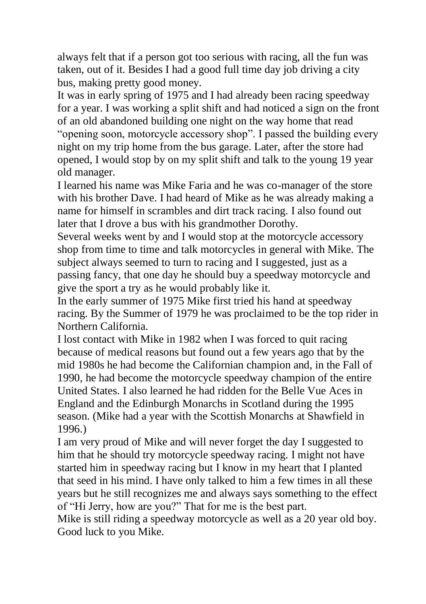always felt that if a person got too serious with racing, all the fun was taken, out of it. Besides I had a good full time day job driving a city bus, making pretty good money.

It was in early spring of 1975 and I had already been racing speedway for a year. I was working a split shift and had noticed a sign on the front of an old abandoned building one night on the way home that read "opening soon, motorcycle accessory shop". I passed the building every night on my trip home from the bus garage. Later, after the store had opened, I would stop by on my split shift and talk to the young 19 year old manager.

I learned his name was Mike Faria and he was co-manager of the store with his brother Dave. I had heard of Mike as he was already making a name for himself in scrambles and dirt track racing. I also found out later that I drove a bus with his grandmother Dorothy.

Several weeks went by and I would stop at the motorcycle accessory shop from time to time and talk motorcycles in general with Mike. The subject always seemed to turn to racing and I suggested, just as a passing fancy, that one day he should buy a speedway motorcycle and give the sport a try as he would probably like it.

In the early summer of 1975 Mike first tried his hand at speedway racing. By the Summer of 1979 he was proclaimed to be the top rider in Northern California.

I lost contact with Mike in 1982 when I was forced to quit racing because of medical reasons but found out a few years ago that by the mid 1980s he had become the Californian champion and, in the Fall of 1990, he had become the motorcycle speedway champion of the entire United States. I also learned he had ridden for the Belle Vue Aces in England and the Edinburgh Monarchs in Scotland during the 1995 season. (Mike had a year with the Scottish Monarchs at Shawfield in 1996.)

I am very proud of Mike and will never forget the day I suggested to him that he should try motorcycle speedway racing. I might not have started him in speedway racing but I know in my heart that I planted that seed in his mind. I have only talked to him a few times in all these years but he still recognizes me and always says something to the effect of "Hi Jerry, how are you?" That for me is the best part.

Mike is still riding a speedway motorcycle as well as a 20 year old boy. Good luck to you Mike.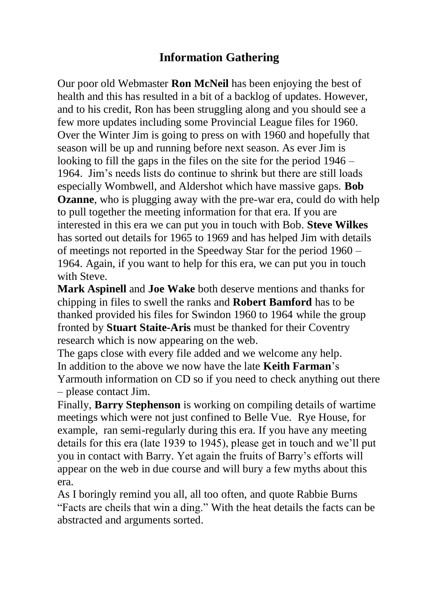## **Information Gathering**

Our poor old Webmaster **Ron McNeil** has been enjoying the best of health and this has resulted in a bit of a backlog of updates. However, and to his credit, Ron has been struggling along and you should see a few more updates including some Provincial League files for 1960. Over the Winter Jim is going to press on with 1960 and hopefully that season will be up and running before next season. As ever Jim is looking to fill the gaps in the files on the site for the period 1946 – 1964. Jim"s needs lists do continue to shrink but there are still loads especially Wombwell, and Aldershot which have massive gaps. **Bob Ozanne**, who is plugging away with the pre-war era, could do with help to pull together the meeting information for that era. If you are interested in this era we can put you in touch with Bob. **Steve Wilkes** has sorted out details for 1965 to 1969 and has helped Jim with details of meetings not reported in the Speedway Star for the period 1960 – 1964. Again, if you want to help for this era, we can put you in touch with Steve.

**Mark Aspinell** and **Joe Wake** both deserve mentions and thanks for chipping in files to swell the ranks and **Robert Bamford** has to be thanked provided his files for Swindon 1960 to 1964 while the group fronted by **Stuart Staite-Aris** must be thanked for their Coventry research which is now appearing on the web.

The gaps close with every file added and we welcome any help. In addition to the above we now have the late **Keith Farman**"s Yarmouth information on CD so if you need to check anything out there – please contact Jim.

Finally, **Barry Stephenson** is working on compiling details of wartime meetings which were not just confined to Belle Vue. Rye House, for example, ran semi-regularly during this era. If you have any meeting details for this era (late 1939 to 1945), please get in touch and we"ll put you in contact with Barry. Yet again the fruits of Barry"s efforts will appear on the web in due course and will bury a few myths about this era.

As I boringly remind you all, all too often, and quote Rabbie Burns "Facts are cheils that win a ding." With the heat details the facts can be abstracted and arguments sorted.